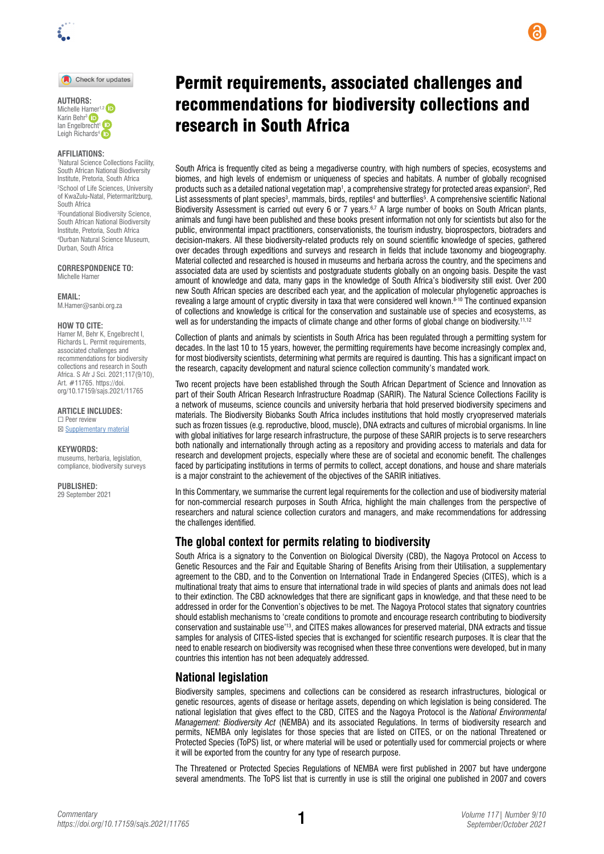

Check for updates

#### **AFFILIATIONS:**

1 Natural Science Collections Facility, South African National Biodiversity Institute, Pretoria, South Africa 2 School of Life Sciences, University of KwaZulu-Natal, Pietermaritzburg, South Africa

3 Foundational Biodiversity Science, South African National Biodiversity Institute, Pretoria, South Africa 4 Durban Natural Science Museum, Durban, South Africa

**CORRESPONDENCE TO:**  Michelle Hamer

**EMAIL:**  [M.Hamer@sanbi.org.za](mailto:M.Hamer%40sanbi.org.za?subject=)

#### **HOW TO CITE:**

Hamer M, Behr K, Engelbrecht I, Richards L. Permit requirements, associated challenges and recommendations for biodiversity collections and research in South Africa. S Afr J Sci. 2021;117(9/10), Art. #11765. [https://doi.](https://doi.org/10.17159/sajs.2021/11765) [org/10.17159/sajs.2021/11765](https://doi.org/10.17159/sajs.2021/11765)

**ARTICLE INCLUDES:** ☐ Peer review

☒ Supplementary material

#### **KEYWORDS:**

museums, herbaria, legislation, compliance, biodiversity surveys

**PUBLISHED:**  29 September 2021

# Permit requirements, associated challenges and recommendations for biodiversity collections and research in South Africa

South Africa is frequently cited as being a megadiverse country, with high numbers of species, ecosystems and biomes, and high levels of endemism or uniqueness of species and habitats. A number of globally recognised products such as a detailed national vegetation map<sup>1</sup>, a comprehensive strategy for protected areas expansion<sup>2</sup>, Red List assessments of plant species<sup>3</sup>, mammals, birds, reptiles<sup>4</sup> and butterflies<sup>5</sup>. A comprehensive scientific National Biodiversity Assessment is carried out every 6 or 7 years.<sup>6,7</sup> A large number of books on South African plants, animals and fungi have been published and these books present information not only for scientists but also for the public, environmental impact practitioners, conservationists, the tourism industry, bioprospectors, biotraders and decision-makers. All these biodiversity-related products rely on sound scientific knowledge of species, gathered over decades through expeditions and surveys and research in fields that include taxonomy and biogeography. Material collected and researched is housed in museums and herbaria across the country, and the specimens and associated data are used by scientists and postgraduate students globally on an ongoing basis. Despite the vast amount of knowledge and data, many gaps in the knowledge of South Africa's biodiversity still exist. Over 200 new South African species are described each year, and the application of molecular phylogenetic approaches is revealing a large amount of cryptic diversity in taxa that were considered well known.8-10 The continued expansion of collections and knowledge is critical for the conservation and sustainable use of species and ecosystems, as well as for understanding the impacts of climate change and other forms of global change on biodiversity.<sup>11,12</sup>

Collection of plants and animals by scientists in South Africa has been regulated through a permitting system for decades. In the last 10 to 15 years, however, the permitting requirements have become increasingly complex and, for most biodiversity scientists, determining what permits are required is daunting. This has a significant impact on the research, capacity development and natural science collection community's mandated work.

Two recent projects have been established through the South African Department of Science and Innovation as part of their South African Research Infrastructure Roadmap (SARIR). The Natural Science Collections Facility is a network of museums, science councils and university herbaria that hold preserved biodiversity specimens and materials. The Biodiversity Biobanks South Africa includes institutions that hold mostly cryopreserved materials such as frozen tissues (e.g. reproductive, blood, muscle), DNA extracts and cultures of microbial organisms. In line with global initiatives for large research infrastructure, the purpose of these SARIR projects is to serve researchers both nationally and internationally through acting as a repository and providing access to materials and data for research and development projects, especially where these are of societal and economic benefit. The challenges faced by participating institutions in terms of permits to collect, accept donations, and house and share materials is a major constraint to the achievement of the objectives of the SARIR initiatives.

In this Commentary, we summarise the current legal requirements for the collection and use of biodiversity material for non-commercial research purposes in South Africa, highlight the main challenges from the perspective of researchers and natural science collection curators and managers, and make recommendations for addressing the challenges identified.

### **The global context for permits relating to biodiversity**

South Africa is a signatory to the Convention on Biological Diversity (CBD), the Nagoya Protocol on Access to Genetic Resources and the Fair and Equitable Sharing of Benefits Arising from their Utilisation, a supplementary agreement to the CBD, and to the Convention on International Trade in Endangered Species (CITES), which is a multinational treaty that aims to ensure that international trade in wild species of plants and animals does not lead to their extinction. The CBD acknowledges that there are significant gaps in knowledge, and that these need to be addressed in order for the Convention's objectives to be met. The Nagoya Protocol states that signatory countries should establish mechanisms to 'create conditions to promote and encourage research contributing to biodiversity conservation and sustainable use'13, and CITES makes allowances for preserved material, DNA extracts and tissue samples for analysis of CITES-listed species that is exchanged for scientific research purposes. It is clear that the need to enable research on biodiversity was recognised when these three conventions were developed, but in many countries this intention has not been adequately addressed.

#### **National legislation**

Biodiversity samples, specimens and collections can be considered as research infrastructures, biological or genetic resources, agents of disease or heritage assets, depending on which legislation is being considered. The national legislation that gives effect to the CBD, CITES and the Nagoya Protocol is the *National Environmental Management: Biodiversity Act* (NEMBA) and its associated Regulations. In terms of biodiversity research and permits, NEMBA only legislates for those species that are listed on CITES, or on the national Threatened or Protected Species (ToPS) list, or where material will be used or potentially used for commercial projects or where it will be exported from the country for any type of research purpose.

The Threatened or Protected Species Regulations of NEMBA were first published in 2007 but have undergone several amendments. The ToPS list that is currently in use is still the original one published in 2007 and covers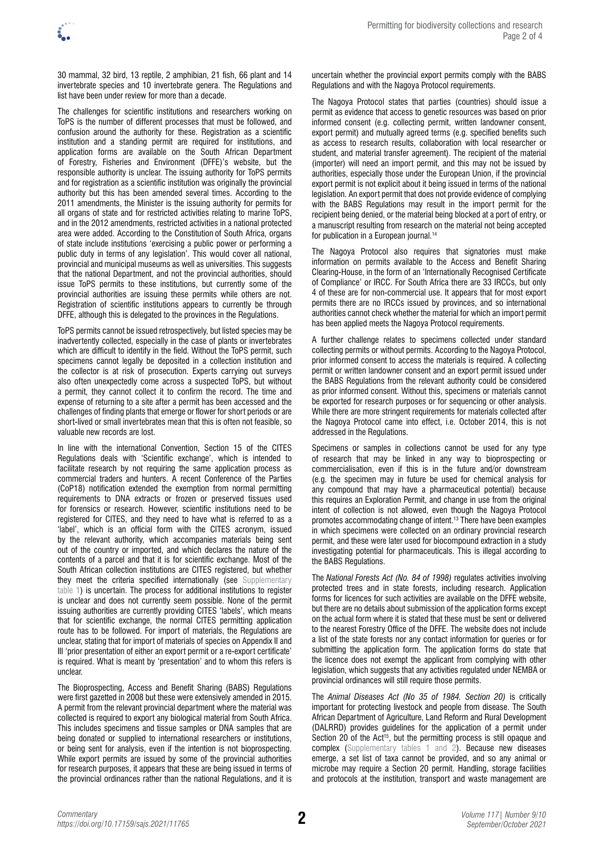

30 mammal, 32 bird, 13 reptile, 2 amphibian, 21 fish, 66 plant and 14 invertebrate species and 10 invertebrate genera. The Regulations and list have been under review for more than a decade.

The challenges for scientific institutions and researchers working on ToPS is the number of different processes that must be followed, and confusion around the authority for these. Registration as a scientific institution and a standing permit are required for institutions, and application forms are available on the South African Department of Forestry, Fisheries and Environment (DFFE)'s website, but the responsible authority is unclear. The issuing authority for ToPS permits and for registration as a scientific institution was originally the provincial authority but this has been amended several times. According to the 2011 amendments, the Minister is the issuing authority for permits for all organs of state and for restricted activities relating to marine ToPS, and in the 2012 amendments, restricted activities in a national protected area were added. According to the Constitution of South Africa, organs of state include institutions 'exercising a public power or performing a public duty in terms of any legislation'. This would cover all national, provincial and municipal museums as well as universities. This suggests that the national Department, and not the provincial authorities, should issue ToPS permits to these institutions, but currently some of the provincial authorities are issuing these permits while others are not. Registration of scientific institutions appears to currently be through DFFE, although this is delegated to the provinces in the Regulations.

ToPS permits cannot be issued retrospectively, but listed species may be inadvertently collected, especially in the case of plants or invertebrates which are difficult to identify in the field. Without the ToPS permit, such specimens cannot legally be deposited in a collection institution and the collector is at risk of prosecution. Experts carrying out surveys also often unexpectedly come across a suspected ToPS, but without a permit, they cannot collect it to confirm the record. The time and expense of returning to a site after a permit has been accessed and the challenges of finding plants that emerge or flower for short periods or are short-lived or small invertebrates mean that this is often not feasible, so valuable new records are lost.

In line with the international Convention, Section 15 of the CITES Regulations deals with 'Scientific exchange', which is intended to facilitate research by not requiring the same application process as commercial traders and hunters. A recent Conference of the Parties (CoP18) notification extended the exemption from normal permitting requirements to DNA extracts or frozen or preserved tissues used for forensics or research. However, scientific institutions need to be registered for CITES, and they need to have what is referred to as a 'label', which is an official form with the CITES acronym, issued by the relevant authority, which accompanies materials being sent out of the country or imported, and which declares the nature of the contents of a parcel and that it is for scientific exchange. Most of the South African collection institutions are CITES registered, but whether they meet the criteria specified internationally (see Supplementary [table 1](https://doi.org/10.17159/sajs.2021/11765/suppl)) is uncertain. The process for additional institutions to register is unclear and does not currently seem possible. None of the permit issuing authorities are currently providing CITES 'labels', which means that for scientific exchange, the normal CITES permitting application route has to be followed. For import of materials, the Regulations are unclear, stating that for import of materials of species on Appendix II and III 'prior presentation of either an export permit or a re-export certificate' is required. What is meant by 'presentation' and to whom this refers is unclear.

The Bioprospecting, Access and Benefit Sharing (BABS) Regulations were first gazetted in 2008 but these were extensively amended in 2015. A permit from the relevant provincial department where the material was collected is required to export any biological material from South Africa. This includes specimens and tissue samples or DNA samples that are being donated or supplied to international researchers or institutions, or being sent for analysis, even if the intention is not bioprospecting. While export permits are issued by some of the provincial authorities for research purposes, it appears that these are being issued in terms of the provincial ordinances rather than the national Regulations, and it is

uncertain whether the provincial export permits comply with the BABS Regulations and with the Nagoya Protocol requirements.

The Nagoya Protocol states that parties (countries) should issue a permit as evidence that access to genetic resources was based on prior informed consent (e.g. collecting permit, written landowner consent, export permit) and mutually agreed terms (e.g. specified benefits such as access to research results, collaboration with local researcher or student, and material transfer agreement). The recipient of the material (importer) will need an import permit, and this may not be issued by authorities, especially those under the European Union, if the provincial export permit is not explicit about it being issued in terms of the national legislation. An export permit that does not provide evidence of complying with the BABS Regulations may result in the import permit for the recipient being denied, or the material being blocked at a port of entry, or a manuscript resulting from research on the material not being accepted for publication in a European journal.<sup>14</sup>

The Nagoya Protocol also requires that signatories must make information on permits available to the Access and Benefit Sharing Clearing-House, in the form of an 'Internationally Recognised Certificate of Compliance' or IRCC. For South Africa there are 33 IRCCs, but only 4 of these are for non-commercial use. It appears that for most export permits there are no IRCCs issued by provinces, and so international authorities cannot check whether the material for which an import permit has been applied meets the Nagoya Protocol requirements.

A further challenge relates to specimens collected under standard collecting permits or without permits. According to the Nagoya Protocol, prior informed consent to access the materials is required. A collecting permit or written landowner consent and an export permit issued under the BABS Regulations from the relevant authority could be considered as prior informed consent. Without this, specimens or materials cannot be exported for research purposes or for sequencing or other analysis. While there are more stringent requirements for materials collected after the Nagoya Protocol came into effect, i.e. October 2014, this is not addressed in the Regulations.

Specimens or samples in collections cannot be used for any type of research that may be linked in any way to bioprospecting or commercialisation, even if this is in the future and/or downstream (e.g. the specimen may in future be used for chemical analysis for any compound that may have a pharmaceutical potential) because this requires an Exploration Permit, and change in use from the original intent of collection is not allowed, even though the Nagoya Protocol promotes accommodating change of intent.13 There have been examples in which specimens were collected on an ordinary provincial research permit, and these were later used for biocompound extraction in a study investigating potential for pharmaceuticals. This is illegal according to the BABS Regulations.

The *National Forests Act (No. 84 of 1998)* regulates activities involving protected trees and in state forests, including research. Application forms for licences for such activities are available on the DFFE website, but there are no details about submission of the application forms except on the actual form where it is stated that these must be sent or delivered to the nearest Forestry Office of the DFFE. The website does not include a list of the state forests nor any contact information for queries or for submitting the application form. The application forms do state that the licence does not exempt the applicant from complying with other legislation, which suggests that any activities regulated under NEMBA or provincial ordinances will still require those permits.

The *Animal Diseases Act (No 35 of 1984. Section 20)* is critically important for protecting livestock and people from disease. The South African Department of Agriculture, Land Reform and Rural Development (DALRRD) provides guidelines for the application of a permit under Section 20 of the Act<sup>15</sup>, but the permitting process is still opaque and complex [\(Supplementary tables 1 and 2\)](https://doi.org/10.17159/sajs.2021/11765/suppl). Because new diseases emerge, a set list of taxa cannot be provided, and so any animal or microbe may require a Section 20 permit. Handling, storage facilities and protocols at the institution, transport and waste management are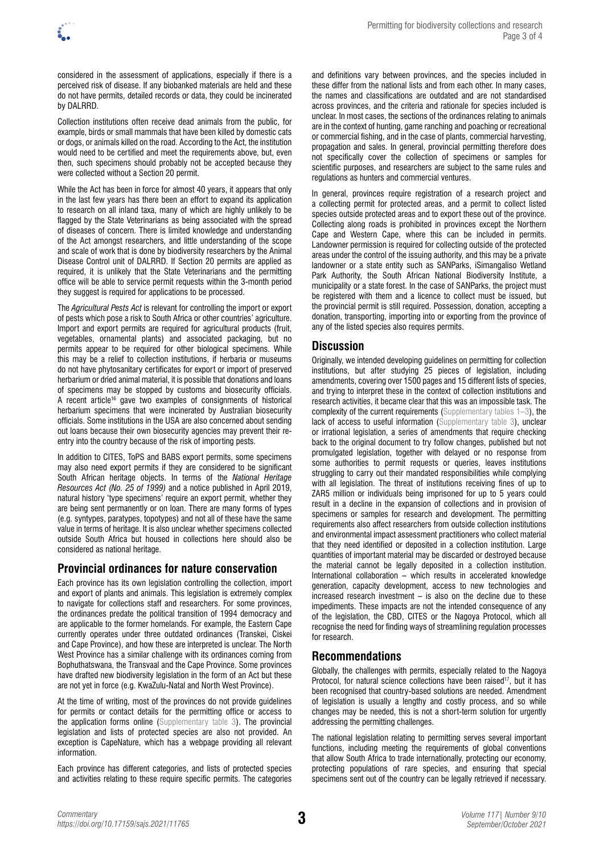considered in the assessment of applications, especially if there is a perceived risk of disease. If any biobanked materials are held and these do not have permits, detailed records or data, they could be incinerated by DALRRD.

Collection institutions often receive dead animals from the public, for example, birds or small mammals that have been killed by domestic cats or dogs, or animals killed on the road. According to the Act, the institution would need to be certified and meet the requirements above, but, even then, such specimens should probably not be accepted because they were collected without a Section 20 permit.

While the Act has been in force for almost 40 years, it appears that only in the last few years has there been an effort to expand its application to research on all inland taxa, many of which are highly unlikely to be flagged by the State Veterinarians as being associated with the spread of diseases of concern. There is limited knowledge and understanding of the Act amongst researchers, and little understanding of the scope and scale of work that is done by biodiversity researchers by the Animal Disease Control unit of DALRRD. If Section 20 permits are applied as required, it is unlikely that the State Veterinarians and the permitting office will be able to service permit requests within the 3-month period they suggest is required for applications to be processed.

The *Agricultural Pests Act* is relevant for controlling the import or export of pests which pose a risk to South Africa or other countries' agriculture. Import and export permits are required for agricultural products (fruit, vegetables, ornamental plants) and associated packaging, but no permits appear to be required for other biological specimens. While this may be a relief to collection institutions, if herbaria or museums do not have phytosanitary certificates for export or import of preserved herbarium or dried animal material, it is possible that donations and loans of specimens may be stopped by customs and biosecurity officials. A recent article16 gave two examples of consignments of historical herbarium specimens that were incinerated by Australian biosecurity officials. Some institutions in the USA are also concerned about sending out loans because their own biosecurity agencies may prevent their reentry into the country because of the risk of importing pests.

In addition to CITES, ToPS and BABS export permits, some specimens may also need export permits if they are considered to be significant South African heritage objects. In terms of the *National Heritage Resources Act (No. 25 of 1999)* and a notice published in April 2019, natural history 'type specimens' require an export permit, whether they are being sent permanently or on loan. There are many forms of types (e.g. syntypes, paratypes, topotypes) and not all of these have the same value in terms of heritage. It is also unclear whether specimens collected outside South Africa but housed in collections here should also be considered as national heritage.

## **Provincial ordinances for nature conservation**

Each province has its own legislation controlling the collection, import and export of plants and animals. This legislation is extremely complex to navigate for collections staff and researchers. For some provinces, the ordinances predate the political transition of 1994 democracy and are applicable to the former homelands. For example, the Eastern Cape currently operates under three outdated ordinances (Transkei, Ciskei and Cape Province), and how these are interpreted is unclear. The North West Province has a similar challenge with its ordinances coming from Bophuthatswana, the Transvaal and the Cape Province. Some provinces have drafted new biodiversity legislation in the form of an Act but these are not yet in force (e.g. KwaZulu-Natal and North West Province).

At the time of writing, most of the provinces do not provide guidelines for permits or contact details for the permitting office or access to the application forms online [\(Supplementary table 3\)](https://doi.org/10.17159/sajs.2021/11765/suppl). The provincial legislation and lists of protected species are also not provided. An exception is CapeNature, which has a webpage providing all relevant information.

Each province has different categories, and lists of protected species and activities relating to these require specific permits. The categories and definitions vary between provinces, and the species included in these differ from the national lists and from each other. In many cases, the names and classifications are outdated and are not standardised across provinces, and the criteria and rationale for species included is unclear. In most cases, the sections of the ordinances relating to animals are in the context of hunting, game ranching and poaching or recreational or commercial fishing, and in the case of plants, commercial harvesting, propagation and sales. In general, provincial permitting therefore does not specifically cover the collection of specimens or samples for scientific purposes, and researchers are subject to the same rules and regulations as hunters and commercial ventures.

In general, provinces require registration of a research project and a collecting permit for protected areas, and a permit to collect listed species outside protected areas and to export these out of the province. Collecting along roads is prohibited in provinces except the Northern Cape and Western Cape, where this can be included in permits. Landowner permission is required for collecting outside of the protected areas under the control of the issuing authority, and this may be a private landowner or a state entity such as SANParks, iSimangaliso Wetland Park Authority, the South African National Biodiversity Institute, a municipality or a state forest. In the case of SANParks, the project must be registered with them and a licence to collect must be issued, but the provincial permit is still required. Possession, donation, accepting a donation, transporting, importing into or exporting from the province of any of the listed species also requires permits.

## **Discussion**

Originally, we intended developing guidelines on permitting for collection institutions, but after studying 25 pieces of legislation, including amendments, covering over 1500 pages and 15 different lists of species, and trying to interpret these in the context of collection institutions and research activities, it became clear that this was an impossible task. The complexity of the current requirements ([Supplementary tables](https://doi.org/10.17159/sajs.2021/11765/suppl) 1–3), the lack of access to useful information ([Supplementary table](https://doi.org/10.17159/sajs.2021/11765/suppl) 3), unclear or irrational legislation, a series of amendments that require checking back to the original document to try follow changes, published but not promulgated legislation, together with delayed or no response from some authorities to permit requests or queries, leaves institutions struggling to carry out their mandated responsibilities while complying with all legislation. The threat of institutions receiving fines of up to ZAR5 million or individuals being imprisoned for up to 5 years could result in a decline in the expansion of collections and in provision of specimens or samples for research and development. The permitting requirements also affect researchers from outside collection institutions and environmental impact assessment practitioners who collect material that they need identified or deposited in a collection institution. Large quantities of important material may be discarded or destroyed because the material cannot be legally deposited in a collection institution. International collaboration – which results in accelerated knowledge generation, capacity development, access to new technologies and increased research investment – is also on the decline due to these impediments. These impacts are not the intended consequence of any of the legislation, the CBD, CITES or the Nagoya Protocol, which all recognise the need for finding ways of streamlining regulation processes for research.

# **Recommendations**

Globally, the challenges with permits, especially related to the Nagoya Protocol, for natural science collections have been raised<sup>17</sup>, but it has been recognised that country-based solutions are needed. Amendment of legislation is usually a lengthy and costly process, and so while changes may be needed, this is not a short-term solution for urgently addressing the permitting challenges.

The national legislation relating to permitting serves several important functions, including meeting the requirements of global conventions that allow South Africa to trade internationally, protecting our economy, protecting populations of rare species, and ensuring that special specimens sent out of the country can be legally retrieved if necessary.